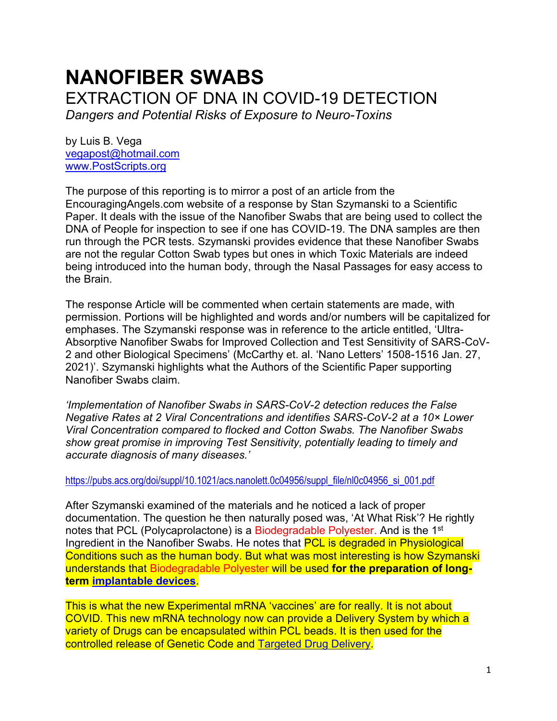# **NANOFIBER SWABS**  EXTRACTION OF DNA IN COVID-19 DETECTION *Dangers and Potential Risks of Exposure to Neuro-Toxins*

by Luis B. Vega [vegapost@hotmail.com](mailto:vegapost@hotmail.com) [www.PostScripts.org](http://www.postscripts.org/)

The purpose of this reporting is to mirror a post of an article from the EncouragingAngels.com website of a response by Stan Szymanski to a Scientific Paper. It deals with the issue of the Nanofiber Swabs that are being used to collect the DNA of People for inspection to see if one has COVID-19. The DNA samples are then run through the PCR tests. Szymanski provides evidence that these Nanofiber Swabs are not the regular Cotton Swab types but ones in which Toxic Materials are indeed being introduced into the human body, through the Nasal Passages for easy access to the Brain.

The response Article will be commented when certain statements are made, with permission. Portions will be highlighted and words and/or numbers will be capitalized for emphases. The Szymanski response was in reference to the article entitled, 'Ultra-Absorptive Nanofiber Swabs for Improved Collection and Test Sensitivity of SARS-CoV-2 and other Biological Specimens' (McCarthy et. al. 'Nano Letters' 1508-1516 Jan. 27, 2021)'. Szymanski highlights what the Authors of the Scientific Paper supporting Nanofiber Swabs claim.

*'Implementation of Nanofiber Swabs in SARS-CoV-2 detection reduces the False Negative Rates at 2 Viral Concentrations and identifies SARS-CoV-2 at a 10× Lower Viral Concentration compared to flocked and Cotton Swabs. The Nanofiber Swabs show great promise in improving Test Sensitivity, potentially leading to timely and accurate diagnosis of many diseases.'*

[https://pubs.acs.org/doi/suppl/10.1021/acs.nanolett.0c04956/suppl\\_file/nl0c04956\\_si\\_001.pdf](https://pubs.acs.org/doi/suppl/10.1021/acs.nanolett.0c04956/suppl_file/nl0c04956_si_001.pdf)

After Szymanski examined of the materials and he noticed a lack of proper documentation. The question he then naturally posed was, 'At What Risk'? He rightly notes that PCL (Polycaprolactone) is a Biodegradable Polyester. And is the 1<sup>st</sup> Ingredient in the Nanofiber Swabs. He notes that PCL is degraded in Physiological Conditions such as the human body. But what was most interesting is how Szymanski understands that Biodegradable Polyester will be used **for the preparation of longterm [implantable devices](https://www.sciencedirect.com/topics/engineering/medical-implant)**.

This is what the new Experimental mRNA 'vaccines' are for really. It is not about COVID. This new mRNA technology now can provide a Delivery System by which a variety of Drugs can be encapsulated within PCL beads. It is then used for the controlled release of Genetic Code and [Targeted Drug Delivery.](https://www.sciencedirect.com/topics/engineering/targeted-drug-delivery)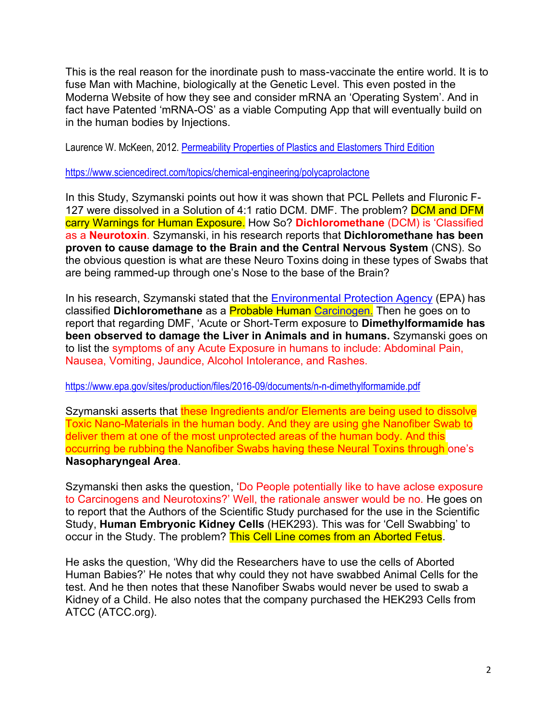This is the real reason for the inordinate push to mass-vaccinate the entire world. It is to fuse Man with Machine, biologically at the Genetic Level. This even posted in the Moderna Website of how they see and consider mRNA an 'Operating System'. And in fact have Patented 'mRNA-OS' as a viable Computing App that will eventually build on in the human bodies by Injections.

Laurence W. McKeen, 2012. [Permeability Properties of Plastics and Elastomers Third Edition](https://www.sciencedirect.com/book/9781437734690/permeability-properties-of-plastics-and-elastomers)

<https://www.sciencedirect.com/topics/chemical-engineering/polycaprolactone>

In this Study, Szymanski points out how it was shown that PCL Pellets and Fluronic F-127 were dissolved in a Solution of 4:1 ratio DCM. DMF. The problem? **DCM and DFM** carry Warnings for Human Exposure. How So? **Dichloromethane** (DCM) is 'Classified as a **Neurotoxin**. Szymanski, in his research reports that **Dichloromethane has been proven to cause damage to the Brain and the Central Nervous System** (CNS). So the obvious question is what are these Neuro Toxins doing in these types of Swabs that are being rammed-up through one's Nose to the base of the Brain?

In his research, Szymanski stated that the **[Environmental Protection Agency](https://www.msdsonline.com/resources/sds-resources/glossary-of-terms/epa/)** (EPA) has classified **Dichloromethane** as a Probable Human [Carcinogen.](https://www.msdsonline.com/resources/sds-resources/glossary-of-terms/carcinogen/) Then he goes on to report that regarding DMF, 'Acute or Short-Term exposure to **Dimethylformamide has been observed to damage the Liver in Animals and in humans.** Szymanski goes on to list the symptoms of any Acute Exposure in humans to include: Abdominal Pain, Nausea, Vomiting, Jaundice, Alcohol Intolerance, and Rashes.

# [https://www.epa.gov/sites/production/files/2016-09/documents/n-n-dimethylformamide.pdf](https://www.epa.gov/sites/production/files/2016-09/documents/n-n-dimethylformamide.pdf))

Szymanski asserts that these Ingredients and/or Elements are being used to dissolve Toxic Nano-Materials in the human body. And they are using ghe Nanofiber Swab to deliver them at one of the most unprotected areas of the human body. And this occurring be rubbing the Nanofiber Swabs having these Neural Toxins through one's **Nasopharyngeal Area**.

Szymanski then asks the question, 'Do People potentially like to have aclose exposure to Carcinogens and Neurotoxins?' Well, the rationale answer would be no. He goes on to report that the Authors of the Scientific Study purchased for the use in the Scientific Study, **Human Embryonic Kidney Cells** (HEK293). This was for 'Cell Swabbing' to occur in the Study. The problem? This Cell Line comes from an Aborted Fetus.

He asks the question, 'Why did the Researchers have to use the cells of Aborted Human Babies?' He notes that why could they not have swabbed Animal Cells for the test. And he then notes that these Nanofiber Swabs would never be used to swab a Kidney of a Child. He also notes that the company purchased the HEK293 Cells from ATCC (ATCC.org).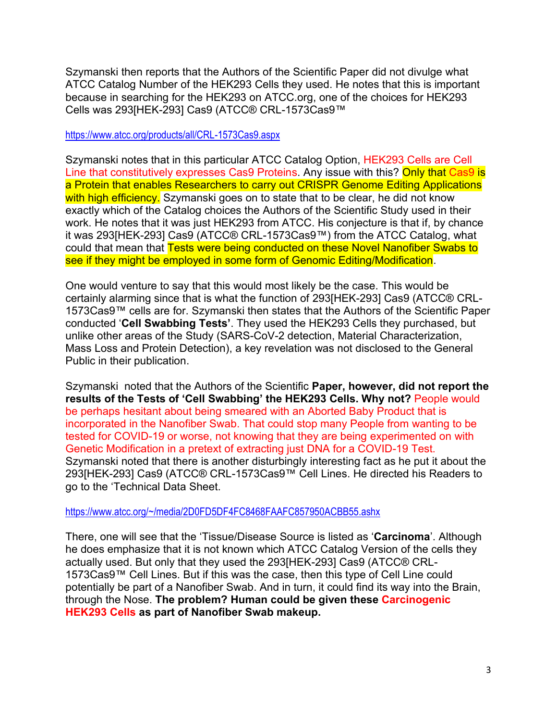Szymanski then reports that the Authors of the Scientific Paper did not divulge what ATCC Catalog Number of the HEK293 Cells they used. He notes that this is important because in searching for the HEK293 on ATCC.org, one of the choices for HEK293 Cells was 293[HEK-293] Cas9 (ATCC® CRL-1573Cas9™

<https://www.atcc.org/products/all/CRL-1573Cas9.aspx>

Szymanski notes that in this particular ATCC Catalog Option, HEK293 Cells are Cell Line that constitutively expresses Cas9 Proteins. Any issue with this? Only that Cas9 is a Protein that enables Researchers to carry out CRISPR Genome Editing Applications with high efficiency. Szymanski goes on to state that to be clear, he did not know exactly which of the Catalog choices the Authors of the Scientific Study used in their work. He notes that it was just HEK293 from ATCC. His conjecture is that if, by chance it was 293[HEK-293] Cas9 (ATCC® CRL-1573Cas9™) from the ATCC Catalog, what could that mean that Tests were being conducted on these Novel Nanofiber Swabs to see if they might be employed in some form of Genomic Editing/Modification.

One would venture to say that this would most likely be the case. This would be certainly alarming since that is what the function of 293[HEK-293] Cas9 (ATCC® CRL-1573Cas9™ cells are for. Szymanski then states that the Authors of the Scientific Paper conducted '**Cell Swabbing Tests'**. They used the HEK293 Cells they purchased, but unlike other areas of the Study (SARS-CoV-2 detection, Material Characterization, Mass Loss and Protein Detection), a key revelation was not disclosed to the General Public in their publication.

Szymanski noted that the Authors of the Scientific **Paper, however, did not report the results of the Tests of 'Cell Swabbing' the HEK293 Cells. Why not?** People would be perhaps hesitant about being smeared with an Aborted Baby Product that is incorporated in the Nanofiber Swab. That could stop many People from wanting to be tested for COVID-19 or worse, not knowing that they are being experimented on with Genetic Modification in a pretext of extracting just DNA for a COVID-19 Test. Szymanski noted that there is another disturbingly interesting fact as he put it about the 293[HEK-293] Cas9 (ATCC® CRL-1573Cas9™ Cell Lines. He directed his Readers to go to the 'Technical Data Sheet.

<https://www.atcc.org/~/media/2D0FD5DF4FC8468FAAFC857950ACBB55.ashx>

There, one will see that the 'Tissue/Disease Source is listed as '**Carcinoma**'. Although he does emphasize that it is not known which ATCC Catalog Version of the cells they actually used. But only that they used the 293[HEK-293] Cas9 (ATCC® CRL-1573Cas9™ Cell Lines. But if this was the case, then this type of Cell Line could potentially be part of a Nanofiber Swab. And in turn, it could find its way into the Brain, through the Nose. **The problem? Human could be given these Carcinogenic HEK293 Cells as part of Nanofiber Swab makeup.**